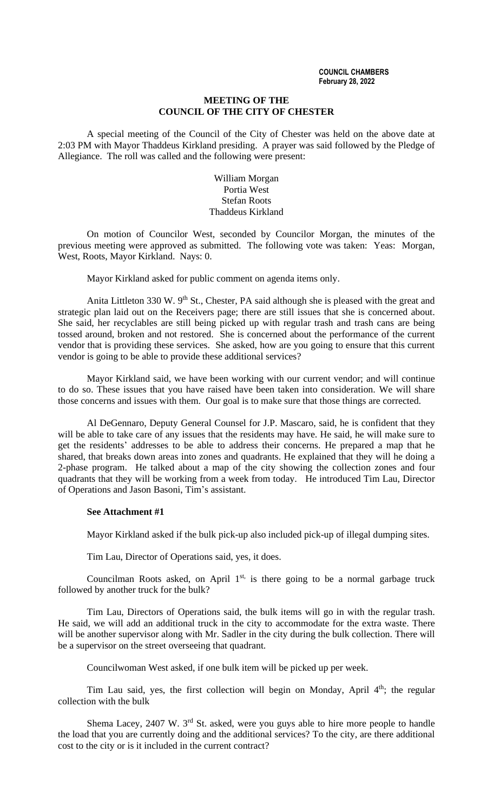#### **COUNCIL CHAMBERS February 28, 2022**

### **MEETING OF THE COUNCIL OF THE CITY OF CHESTER**

A special meeting of the Council of the City of Chester was held on the above date at 2:03 PM with Mayor Thaddeus Kirkland presiding. A prayer was said followed by the Pledge of Allegiance. The roll was called and the following were present:

# William Morgan Portia West Stefan Roots Thaddeus Kirkland

On motion of Councilor West, seconded by Councilor Morgan, the minutes of the previous meeting were approved as submitted. The following vote was taken: Yeas: Morgan, West, Roots, Mayor Kirkland. Nays: 0.

Mayor Kirkland asked for public comment on agenda items only.

Anita Littleton 330 W.  $9<sup>th</sup>$  St., Chester, PA said although she is pleased with the great and strategic plan laid out on the Receivers page; there are still issues that she is concerned about. She said, her recyclables are still being picked up with regular trash and trash cans are being tossed around, broken and not restored. She is concerned about the performance of the current vendor that is providing these services. She asked, how are you going to ensure that this current vendor is going to be able to provide these additional services?

Mayor Kirkland said, we have been working with our current vendor; and will continue to do so. These issues that you have raised have been taken into consideration. We will share those concerns and issues with them. Our goal is to make sure that those things are corrected.

Al DeGennaro, Deputy General Counsel for J.P. Mascaro, said, he is confident that they will be able to take care of any issues that the residents may have. He said, he will make sure to get the residents' addresses to be able to address their concerns. He prepared a map that he shared, that breaks down areas into zones and quadrants. He explained that they will he doing a 2-phase program. He talked about a map of the city showing the collection zones and four quadrants that they will be working from a week from today. He introduced Tim Lau, Director of Operations and Jason Basoni, Tim's assistant.

# **See Attachment #1**

Mayor Kirkland asked if the bulk pick-up also included pick-up of illegal dumping sites.

Tim Lau, Director of Operations said, yes, it does.

Councilman Roots asked, on April  $1<sup>st</sup>$ , is there going to be a normal garbage truck followed by another truck for the bulk?

Tim Lau, Directors of Operations said, the bulk items will go in with the regular trash. He said, we will add an additional truck in the city to accommodate for the extra waste. There will be another supervisor along with Mr. Sadler in the city during the bulk collection. There will be a supervisor on the street overseeing that quadrant.

Councilwoman West asked, if one bulk item will be picked up per week.

Tim Lau said, yes, the first collection will begin on Monday, April 4<sup>th</sup>; the regular collection with the bulk

Shema Lacey, 2407 W. 3<sup>rd</sup> St. asked, were you guys able to hire more people to handle the load that you are currently doing and the additional services? To the city, are there additional cost to the city or is it included in the current contract?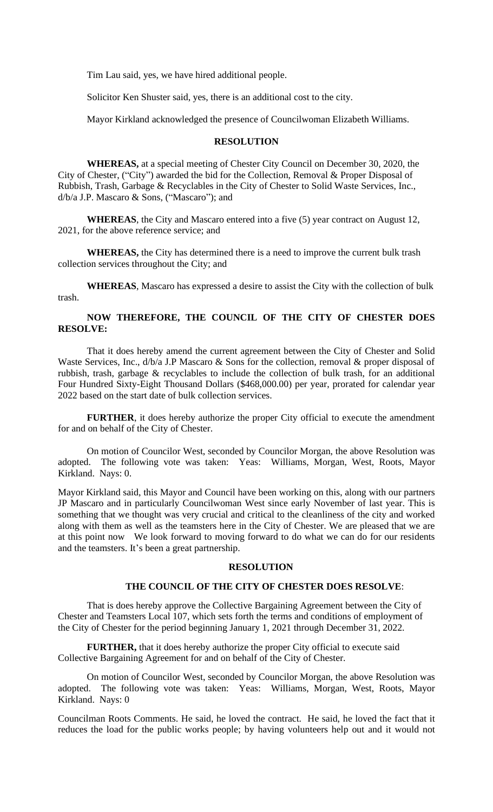Tim Lau said, yes, we have hired additional people.

Solicitor Ken Shuster said, yes, there is an additional cost to the city.

Mayor Kirkland acknowledged the presence of Councilwoman Elizabeth Williams.

### **RESOLUTION**

**WHEREAS,** at a special meeting of Chester City Council on December 30, 2020, the City of Chester, ("City") awarded the bid for the Collection, Removal & Proper Disposal of Rubbish, Trash, Garbage & Recyclables in the City of Chester to Solid Waste Services, Inc., d/b/a J.P. Mascaro & Sons, ("Mascaro"); and

**WHEREAS**, the City and Mascaro entered into a five (5) year contract on August 12, 2021, for the above reference service; and

**WHEREAS,** the City has determined there is a need to improve the current bulk trash collection services throughout the City; and

**WHEREAS**, Mascaro has expressed a desire to assist the City with the collection of bulk trash.

# **NOW THEREFORE, THE COUNCIL OF THE CITY OF CHESTER DOES RESOLVE:**

That it does hereby amend the current agreement between the City of Chester and Solid Waste Services, Inc.,  $d/b/a$  J.P Mascaro & Sons for the collection, removal & proper disposal of rubbish, trash, garbage & recyclables to include the collection of bulk trash, for an additional Four Hundred Sixty-Eight Thousand Dollars (\$468,000.00) per year, prorated for calendar year 2022 based on the start date of bulk collection services.

**FURTHER**, it does hereby authorize the proper City official to execute the amendment for and on behalf of the City of Chester.

On motion of Councilor West, seconded by Councilor Morgan, the above Resolution was adopted. The following vote was taken: Yeas: Williams, Morgan, West, Roots, Mayor Kirkland. Nays: 0.

Mayor Kirkland said, this Mayor and Council have been working on this, along with our partners JP Mascaro and in particularly Councilwoman West since early November of last year. This is something that we thought was very crucial and critical to the cleanliness of the city and worked along with them as well as the teamsters here in the City of Chester. We are pleased that we are at this point now We look forward to moving forward to do what we can do for our residents and the teamsters. It's been a great partnership.

### **RESOLUTION**

### **THE COUNCIL OF THE CITY OF CHESTER DOES RESOLVE**:

That is does hereby approve the Collective Bargaining Agreement between the City of Chester and Teamsters Local 107, which sets forth the terms and conditions of employment of the City of Chester for the period beginning January 1, 2021 through December 31, 2022.

**FURTHER,** that it does hereby authorize the proper City official to execute said Collective Bargaining Agreement for and on behalf of the City of Chester.

On motion of Councilor West, seconded by Councilor Morgan, the above Resolution was adopted. The following vote was taken: Yeas: Williams, Morgan, West, Roots, Mayor Kirkland. Nays: 0

Councilman Roots Comments. He said, he loved the contract. He said, he loved the fact that it reduces the load for the public works people; by having volunteers help out and it would not